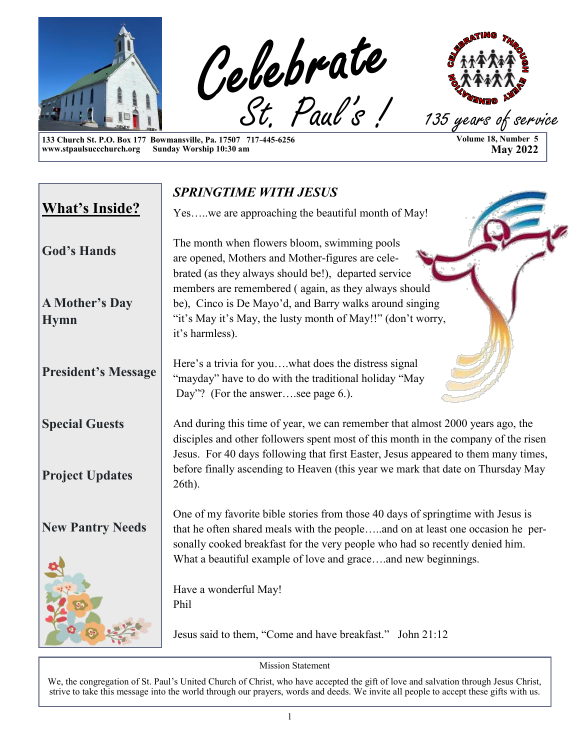

**133 Church St. P.O. Box 177 Bowmansville, Pa. 17507 717-445-6256 www.stpaulsuccchurch.org Sunday Worship 10:30 am**

**Volume 18, Number 5 May 2022**

|                                      | <b>SPRINGTIME WITH JESUS</b>                                                                                                                                                                                                                                                                                       |
|--------------------------------------|--------------------------------------------------------------------------------------------------------------------------------------------------------------------------------------------------------------------------------------------------------------------------------------------------------------------|
| <b>What's Inside?</b>                | Yes .we are approaching the beautiful month of May!                                                                                                                                                                                                                                                                |
| <b>God's Hands</b>                   | The month when flowers bloom, swimming pools<br>are opened, Mothers and Mother-figures are cele-<br>brated (as they always should be!), departed service                                                                                                                                                           |
| <b>A Mother's Day</b><br><b>Hymn</b> | members are remembered (again, as they always should<br>be), Cinco is De Mayo'd, and Barry walks around singing<br>"it's May it's May, the lusty month of May!!" (don't worry,<br>it's harmless).                                                                                                                  |
| <b>President's Message</b>           | Here's a trivia for youwhat does the distress signal<br>"mayday" have to do with the traditional holiday "May<br>Day"? (For the answersee page 6.).                                                                                                                                                                |
| <b>Special Guests</b>                | And during this time of year, we can remember that almost 2000 years ago, the<br>disciples and other followers spent most of this month in the company of the risen<br>Jesus. For 40 days following that first Easter, Jesus appeared to them many times,                                                          |
| <b>Project Updates</b>               | before finally ascending to Heaven (this year we mark that date on Thursday May<br>26th).                                                                                                                                                                                                                          |
| <b>New Pantry Needs</b>              | One of my favorite bible stories from those 40 days of springtime with Jesus is<br>that he often shared meals with the peopleand on at least one occasion he per-<br>sonally cooked breakfast for the very people who had so recently denied him.<br>What a beautiful example of love and graceand new beginnings. |
|                                      | Have a wonderful May!<br>Phil                                                                                                                                                                                                                                                                                      |
|                                      | Jesus said to them, "Come and have breakfast." John 21:12                                                                                                                                                                                                                                                          |

Mission Statement

We, the congregation of St. Paul's United Church of Christ, who have accepted the gift of love and salvation through Jesus Christ, strive to take this message into the world through our prayers, words and deeds. We invite all people to accept these gifts with us.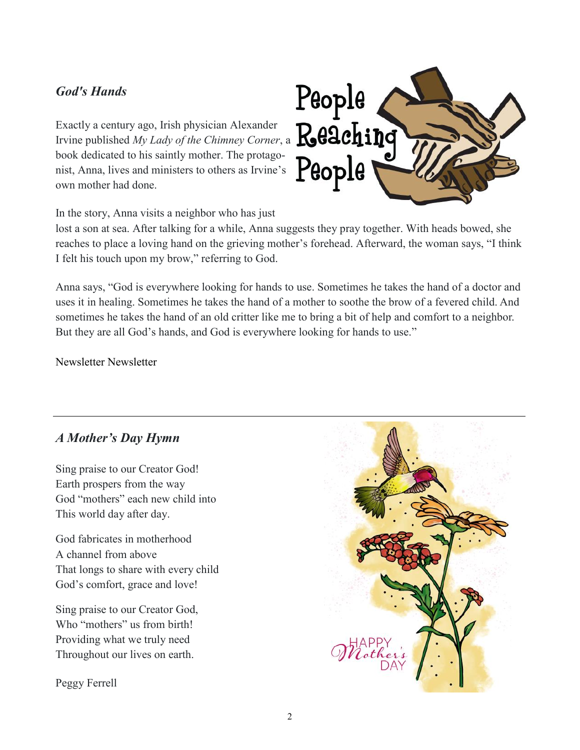#### *God's Hands*

Exactly a century ago, Irish physician Alexander Irvine published *My Lady of the Chimney Corner*, a book dedicated to his saintly mother. The protagonist, Anna, lives and ministers to others as Irvine's own mother had done.



In the story, Anna visits a neighbor who has just

lost a son at sea. After talking for a while, Anna suggests they pray together. With heads bowed, she reaches to place a loving hand on the grieving mother's forehead. Afterward, the woman says, "I think I felt his touch upon my brow," referring to God.

Anna says, "God is everywhere looking for hands to use. Sometimes he takes the hand of a doctor and uses it in healing. Sometimes he takes the hand of a mother to soothe the brow of a fevered child. And sometimes he takes the hand of an old critter like me to bring a bit of help and comfort to a neighbor. But they are all God's hands, and God is everywhere looking for hands to use."

Newsletter Newsletter

#### *A Mother's Day Hymn*

Sing praise to our Creator God! Earth prospers from the way God "mothers" each new child into This world day after day.

God fabricates in motherhood A channel from above That longs to share with every child God's comfort, grace and love!

Sing praise to our Creator God, Who "mothers" us from birth! Providing what we truly need Throughout our lives on earth.

Peggy Ferrell

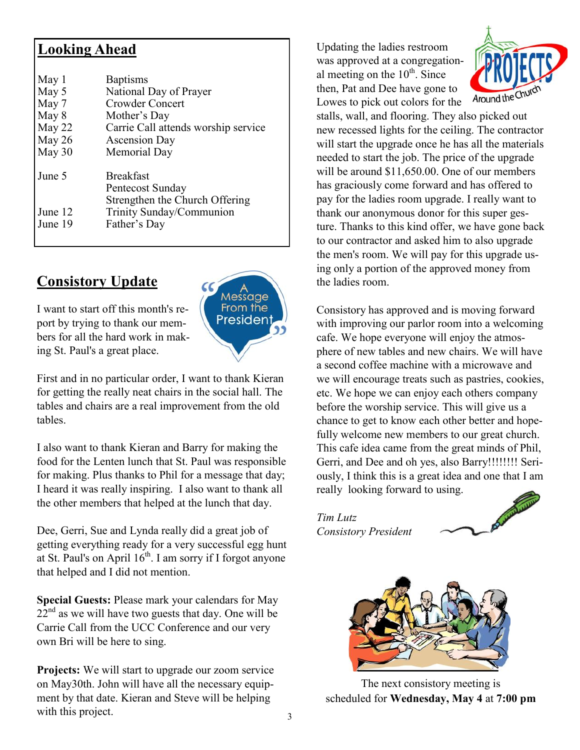### **Looking Ahead**

| May 1<br>May 5<br>May 7<br>May 8 | <b>Baptisms</b><br>National Day of Prayer<br><b>Crowder Concert</b><br>Mother's Day |
|----------------------------------|-------------------------------------------------------------------------------------|
| May 22                           | Carrie Call attends worship service                                                 |
| May 26                           | <b>Ascension Day</b>                                                                |
| May 30                           | Memorial Day                                                                        |
| June 5                           | <b>Breakfast</b><br>Pentecost Sunday<br>Strengthen the Church Offering              |
| June 12<br>June 19               | Trinity Sunday/Communion<br>Father's Day                                            |

# **Consistory Update**

I want to start off this month's report by trying to thank our members for all the hard work in making St. Paul's a great place.



First and in no particular order, I want to thank Kieran for getting the really neat chairs in the social hall. The tables and chairs are a real improvement from the old tables.

I also want to thank Kieran and Barry for making the food for the Lenten lunch that St. Paul was responsible for making. Plus thanks to Phil for a message that day; I heard it was really inspiring. I also want to thank all the other members that helped at the lunch that day.

Dee, Gerri, Sue and Lynda really did a great job of getting everything ready for a very successful egg hunt at St. Paul's on April  $16<sup>th</sup>$ . I am sorry if I forgot anyone that helped and I did not mention.

**Special Guests:** Please mark your calendars for May  $22<sup>nd</sup>$  as we will have two guests that day. One will be Carrie Call from the UCC Conference and our very own Bri will be here to sing.

**Projects:** We will start to upgrade our zoom service on May30th. John will have all the necessary equipment by that date. Kieran and Steve will be helping with this project.

Updating the ladies restroom was approved at a congregational meeting on the  $10^{th}$ . Since then, Pat and Dee have gone to Lowes to pick out colors for the



stalls, wall, and flooring. They also picked out new recessed lights for the ceiling. The contractor will start the upgrade once he has all the materials needed to start the job. The price of the upgrade will be around \$11,650.00. One of our members has graciously come forward and has offered to pay for the ladies room upgrade. I really want to thank our anonymous donor for this super gesture. Thanks to this kind offer, we have gone back to our contractor and asked him to also upgrade the men's room. We will pay for this upgrade using only a portion of the approved money from the ladies room.

Consistory has approved and is moving forward with improving our parlor room into a welcoming cafe. We hope everyone will enjoy the atmosphere of new tables and new chairs. We will have a second coffee machine with a microwave and we will encourage treats such as pastries, cookies, etc. We hope we can enjoy each others company before the worship service. This will give us a chance to get to know each other better and hopefully welcome new members to our great church. This cafe idea came from the great minds of Phil, Gerri, and Dee and oh yes, also Barry!!!!!!!! Seriously, I think this is a great idea and one that I am really looking forward to using.

*Tim Lutz Consistory President* 





The next consistory meeting is scheduled for **Wednesday, May 4** at **7:00 pm**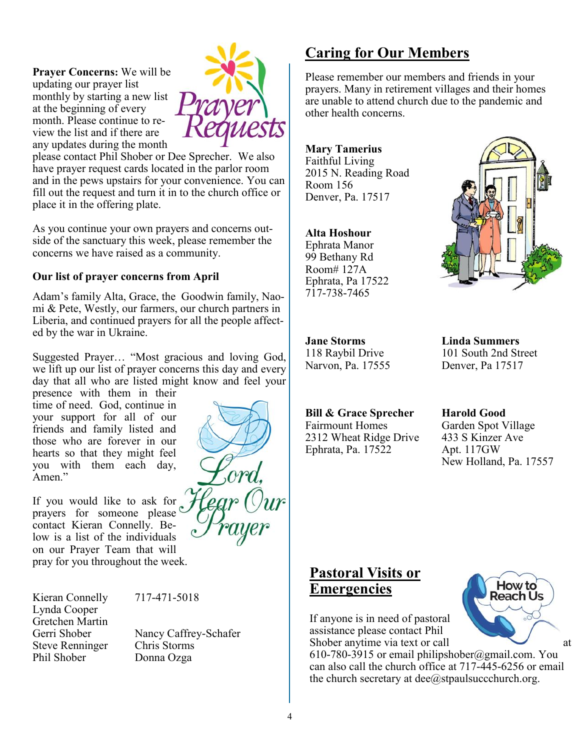**Prayer Concerns:** We will be updating our prayer list monthly by starting a new list at the beginning of every month. Please continue to review the list and if there are any updates during the month



please contact Phil Shober or Dee Sprecher. We also have prayer request cards located in the parlor room and in the pews upstairs for your convenience. You can fill out the request and turn it in to the church office or place it in the offering plate.

As you continue your own prayers and concerns outside of the sanctuary this week, please remember the concerns we have raised as a community.

#### **Our list of prayer concerns from April**

Adam's family Alta, Grace, the Goodwin family, Naomi & Pete, Westly, our farmers, our church partners in Liberia, and continued prayers for all the people affected by the war in Ukraine.

Suggested Prayer… "Most gracious and loving God, we lift up our list of prayer concerns this day and every day that all who are listed might know and feel your

presence with them in their time of need. God, continue in your support for all of our friends and family listed and those who are forever in our hearts so that they might feel you with them each day, Amen."

If you would like to ask for prayers for someone please<sup>c</sup> contact Kieran Connelly. Below is a list of the individuals on our Prayer Team that will pray for you throughout the week.

Kieran Connelly 717-471-5018 Lynda Cooper Gretchen Martin Steve Renninger Chris Storms Phil Shober Donna Ozga

Gerri Shober Nancy Caffrey-Schafer



# **Caring for Our Members**

Please remember our members and friends in your prayers. Many in retirement villages and their homes are unable to attend church due to the pandemic and other health concerns.

**Mary Tamerius** Faithful Living 2015 N. Reading Road Room 156 Denver, Pa. 17517

#### **Alta Hoshour**

Ephrata Manor 99 Bethany Rd Room# 127A Ephrata, Pa 17522 717-738-7465



Narvon, Pa. 17555 Denver, Pa 17517

#### **Bill & Grace Sprecher Harold Good**

Fairmount Homes Garden Spot Village 2312 Wheat Ridge Drive 433 S Kinzer Ave Ephrata, Pa. 17522 Apt. 117GW

**Jane Storms Linda Summers** 118 Raybil Drive 101 South 2nd Street

New Holland, Pa. 17557

# **Pastoral Visits or Emergencies**

If anyone is in need of pastoral assistance please contact Phil Shober anytime via text or call at

610-780-3915 or email philipshober@gmail.com. You can also call the church office at 717-445-6256 or email the church secretary at  $\text{dee}(\hat{a})$ stpaulsuccchurch.org.

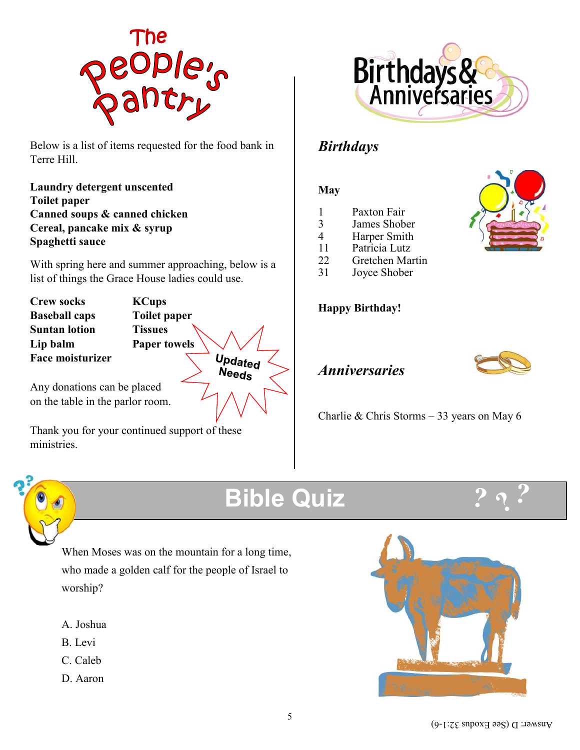

Below is a list of items requested for the food bank in Terre Hill.

**Laundry detergent unscented Toilet paper Canned soups & canned chicken Cereal, pancake mix & syrup Spaghetti sauce**

With spring here and summer approaching, below is a list of things the Grace House ladies could use.

**Crew socks KCups Baseball caps Toilet paper Suntan lotion Tissues Lip balm Paper towels Face moisturizer**

Updated<br>Needs

Any donations can be placed on the table in the parlor room.

Thank you for your continued support of these ministries.



# *Birthdays*

#### **May**

- 1 Paxton Fair<br>3 James Shob
- 3 James Shober
- Harper Smith
- 11 Patricia Lutz
- 22 Gretchen Martin
- 31 Joyce Shober

#### **Happy Birthday!**



# *Anniversaries*

Charlie & Chris Storms – 33 years on May 6



# **Bible Quiz**



When Moses was on the mountain for a long time, who made a golden calf for the people of Israel to worship?

- A. Joshua
- B. Levi
- C. Caleb
- D. Aaron

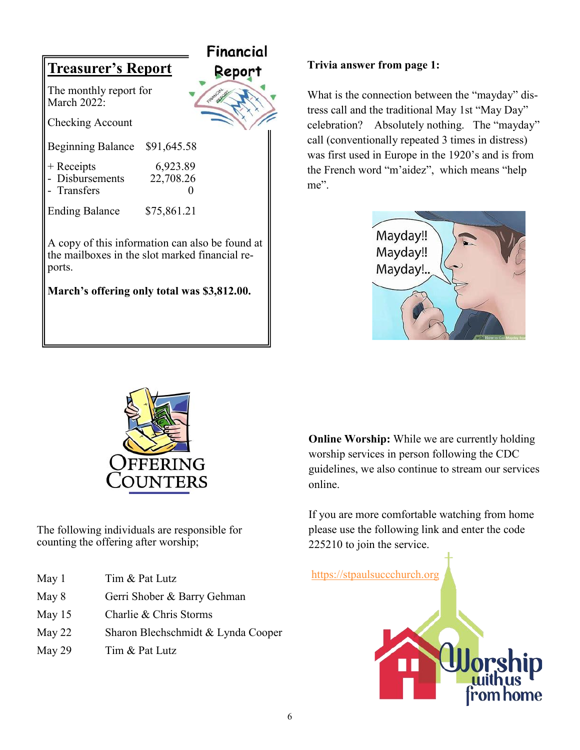|                                                                                                                                                            |                       | Financial |
|------------------------------------------------------------------------------------------------------------------------------------------------------------|-----------------------|-----------|
| <b>Treasurer's Report</b>                                                                                                                                  |                       | Report    |
| The monthly report for<br><b>March 2022:</b>                                                                                                               |                       |           |
| Checking Account                                                                                                                                           |                       |           |
| <b>Beginning Balance</b>                                                                                                                                   | \$91,645.58           |           |
| $+$ Receipts<br>Disbursements<br>Transfers                                                                                                                 | 6,923.89<br>22,708.26 |           |
| <b>Ending Balance</b>                                                                                                                                      | \$75,861.21           |           |
| A copy of this information can also be found at<br>the mailboxes in the slot marked financial re-<br>ports.<br>March's offering only total was \$3,812.00. |                       |           |
|                                                                                                                                                            |                       |           |

#### **Trivia answer from page 1:**

What is the connection between the "mayday" distress call and the traditional May 1st "May Day" celebration? Absolutely nothing. The "mayday" call (conventionally repeated 3 times in distress) was first used in Europe in the 1920's and is from the French word "m'aidez", which means "help me".





The following individuals are responsible for counting the offering after worship;

- May 1 Tim & Pat Lutz
- May 8 Gerri Shober & Barry Gehman
- May 15 Charlie & Chris Storms
- May 22 Sharon Blechschmidt & Lynda Cooper
- May 29 Tim & Pat Lutz

**Online Worship:** While we are currently holding worship services in person following the CDC guidelines, we also continue to stream our services online.

If you are more comfortable watching from home please use the following link and enter the code 225210 to join the service.

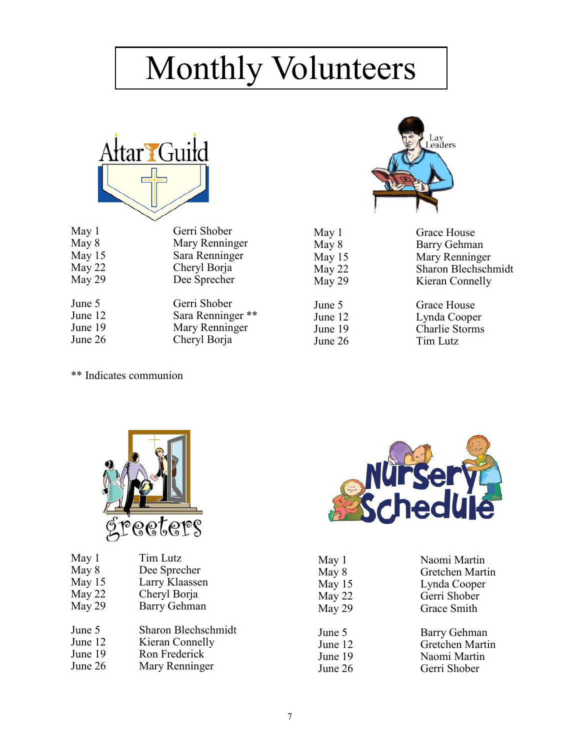# Monthly Volunteers



| Gerri Shober      |
|-------------------|
| Mary Renninger    |
| Sara Renninger    |
| Cheryl Borja      |
| Dee Sprecher      |
| Gerri Shober      |
| Sara Renninger ** |
| Mary Renninger    |
| Cheryl Borja      |
|                   |



| May 1    | Grace House         |
|----------|---------------------|
| May 8    | Barry Gehman        |
| May $15$ | Mary Renninger      |
| May 22   | Sharon Blechschmidt |
| May 29   | Kieran Connelly     |

June 5 Grace House<br>June 12 Lynda Coope June 12 Lynda Cooper<br>June 19 Charlie Storms June 19<br>
June 26<br>
Tim Lutz Tim Lutz

\*\* Indicates communion



| May 1   | Tim Lutz            |
|---------|---------------------|
| May 8   | Dee Sprecher        |
| May 15  | Larry Klaassen      |
| May 22  | Cheryl Borja        |
| May 29  | <b>Barry Gehman</b> |
| June 5  | Sharon Blechschmidt |
| June 12 | Kieran Connelly     |
| June 19 | Ron Frederick       |
| June 26 | Mary Renninger      |
|         |                     |



| May 1   | Naomi Martin    |
|---------|-----------------|
| May 8   | Gretchen Martin |
| May 15  | Lynda Cooper    |
| May 22  | Gerri Shober    |
| May 29  | Grace Smith     |
| June 5  | Barry Gehman    |
| June 12 | Gretchen Martin |
| June 19 | Naomi Martin    |
| June 26 | Gerri Shober    |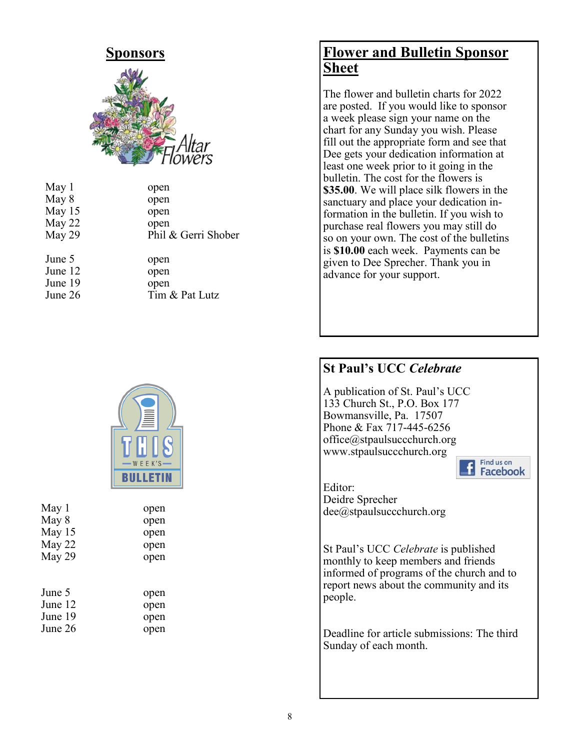

| May 1   | open                |
|---------|---------------------|
| May 8   | open                |
| May 15  | open                |
| May 22  | open                |
| May 29  | Phil & Gerri Shober |
|         |                     |
| June 5  |                     |
|         | open                |
| June 12 | open                |
| June 19 | open                |
| June 26 | Tim & Pat Lutz      |



| May 8   | open |
|---------|------|
| May 15  | open |
| May 22  | open |
| May 29  | open |
|         |      |
| June 5  | open |
| June 12 | open |
| June 19 | open |
| June 26 | open |
|         |      |

May 1 open

# **Flower and Bulletin Sponsor Sheet**

The flower and bulletin charts for 2022 are posted. If you would like to sponsor a week please sign your name on the chart for any Sunday you wish. Please fill out the appropriate form and see that Dee gets your dedication information at least one week prior to it going in the bulletin. The cost for the flowers is **\$35.00**. We will place silk flowers in the sanctuary and place your dedication information in the bulletin. If you wish to purchase real flowers you may still do so on your own. The cost of the bulletins is **\$10.00** each week. Payments can be given to Dee Sprecher. Thank you in advance for your support.

### **St Paul's UCC** *Celebrate*

A publication of St. Paul's UCC 133 Church St., P.O. Box 177 Bowmansville, Pa. 17507 Phone & Fax 717-445-6256 office@stpaulsuccchurch.org www.stpaulsuccchurch.org



Editor: Deidre Sprecher dee@stpaulsuccchurch.org

St Paul's UCC *Celebrate* is published monthly to keep members and friends informed of programs of the church and to report news about the community and its people.

Deadline for article submissions: The third Sunday of each month.